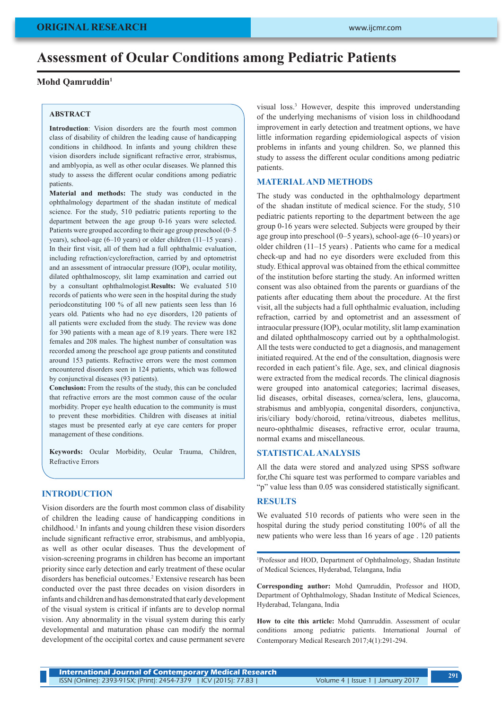# **Assessment of Ocular Conditions among Pediatric Patients**

## **Mohd Qamruddin1**

### **ABSTRACT**

**Introduction**: Vision disorders are the fourth most common class of disability of children the leading cause of handicapping conditions in childhood. In infants and young children these vision disorders include significant refractive error, strabismus, and amblyopia, as well as other ocular diseases. We planned this study to assess the different ocular conditions among pediatric patients.

**Material and methods:** The study was conducted in the ophthalmology department of the shadan institute of medical science. For the study, 510 pediatric patients reporting to the department between the age group 0-16 years were selected. Patients were grouped according to their age group preschool (0–5 years), school-age (6–10 years) or older children (11–15 years) . In their first visit, all of them had a full ophthalmic evaluation, including refraction/cyclorefraction, carried by and optometrist and an assessment of intraocular pressure (IOP), ocular motility, dilated ophthalmoscopy, slit lamp examination and carried out by a consultant ophthalmologist.**Results:** We evaluated 510 records of patients who were seen in the hospital during the study periodconstituting 100 % of all new patients seen less than 16 years old. Patients who had no eye disorders, 120 patients of all patients were excluded from the study. The review was done for 390 patients with a mean age of 8.19 years. There were 182 females and 208 males. The highest number of consultation was recorded among the preschool age group patients and constituted around 153 patients. Refractive errors were the most common encountered disorders seen in 124 patients, which was followed by conjunctival diseases (93 patients).

**Conclusion:** From the results of the study, this can be concluded that refractive errors are the most common cause of the ocular morbidity. Proper eye health education to the community is must to prevent these morbidities. Children with diseases at initial stages must be presented early at eye care centers for proper management of these conditions.

**Keywords:** Ocular Morbidity, Ocular Trauma, Children, Refractive Errors

## **INTRODUCTION**

Vision disorders are the fourth most common class of disability of children the leading cause of handicapping conditions in childhood.<sup>1</sup> In infants and young children these vision disorders include significant refractive error, strabismus, and amblyopia, as well as other ocular diseases. Thus the development of vision-screening programs in children has become an important priority since early detection and early treatment of these ocular disorders has beneficial outcomes.<sup>2</sup> Extensive research has been conducted over the past three decades on vision disorders in infants and children and has demonstrated that early development of the visual system is critical if infants are to develop normal vision. Any abnormality in the visual system during this early developmental and maturation phase can modify the normal development of the occipital cortex and cause permanent severe

visual loss.3 However, despite this improved understanding of the underlying mechanisms of vision loss in childhoodand improvement in early detection and treatment options, we have little information regarding epidemiological aspects of vision problems in infants and young children. So, we planned this study to assess the different ocular conditions among pediatric patients.

## **MATERIAL AND METHODS**

The study was conducted in the ophthalmology department of the shadan institute of medical science. For the study, 510 pediatric patients reporting to the department between the age group 0-16 years were selected. Subjects were grouped by their age group into preschool (0–5 years), school-age (6–10 years) or older children (11–15 years) . Patients who came for a medical check-up and had no eye disorders were excluded from this study. Ethical approval was obtained from the ethical committee of the institution before starting the study. An informed written consent was also obtained from the parents or guardians of the patients after educating them about the procedure. At the first visit, all the subjects had a full ophthalmic evaluation, including refraction, carried by and optometrist and an assessment of intraocular pressure (IOP), ocular motility, slit lamp examination and dilated ophthalmoscopy carried out by a ophthalmologist. All the tests were conducted to get a diagnosis, and management initiated required. At the end of the consultation, diagnosis were recorded in each patient's file. Age, sex, and clinical diagnosis were extracted from the medical records. The clinical diagnosis were grouped into anatomical categories; lacrimal diseases, lid diseases, orbital diseases, cornea/sclera, lens, glaucoma, strabismus and amblyopia, congenital disorders, conjunctiva, iris/ciliary body/choroid, retina/vitreous, diabetes mellitus, neuro-ophthalmic diseases, refractive error, ocular trauma, normal exams and miscellaneous.

### **STATISTICAL ANALYSIS**

All the data were stored and analyzed using SPSS software for,the Chi square test was performed to compare variables and "p" value less than 0.05 was considered statistically significant.

# **RESULTS**

We evaluated 510 records of patients who were seen in the hospital during the study period constituting 100% of all the new patients who were less than 16 years of age . 120 patients

1 Professor and HOD, Department of Ophthalmology, Shadan Institute of Medical Sciences, Hyderabad, Telangana, India

**Corresponding author:** Mohd Qamruddin, Professor and HOD, Department of Ophthalmology, Shadan Institute of Medical Sciences, Hyderabad, Telangana, India

**How to cite this article:** Mohd Qamruddin. Assessment of ocular conditions among pediatric patients. International Journal of Contemporary Medical Research 2017;4(1):291-294.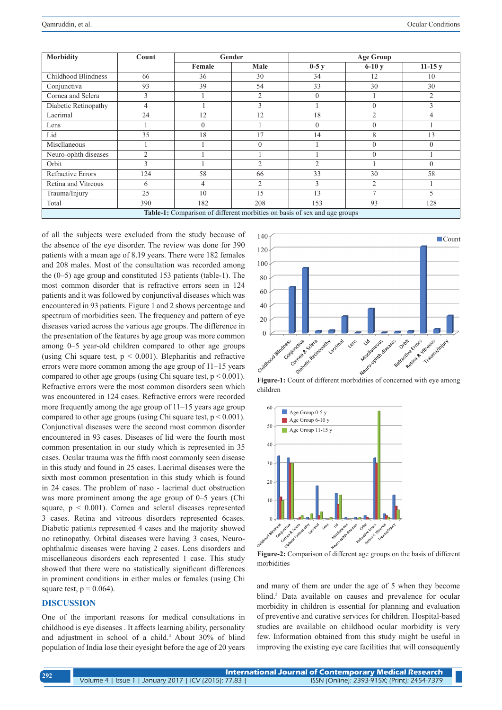| <b>Morbidity</b>                                                          | Count          | Gender   |                | <b>Age Group</b> |          |                |
|---------------------------------------------------------------------------|----------------|----------|----------------|------------------|----------|----------------|
|                                                                           |                | Female   | Male           | $0-5y$           | $6-10y$  | $11-15y$       |
| Childhood Blindness                                                       | 66             | 36       | 30             | 34               | 12       | 10             |
| Conjunctiva                                                               | 93             | 39       | 54             | 33               | 30       | 30             |
| Cornea and Sclera                                                         | 3              |          | $\overline{c}$ | $\theta$         |          | $\overline{2}$ |
| Diabetic Retinopathy                                                      | 4              |          | 3              |                  | $\Omega$ | 3              |
| Lacrimal                                                                  | 24             | 12       | 12             | 18               | 2        | 4              |
| Lens                                                                      |                | $\Omega$ |                | $\theta$         | $\Omega$ |                |
| Lid                                                                       | 35             | 18       | 17             | 14               | 8        | 13             |
| Miscllaneous                                                              |                |          | 0              |                  | $\Omega$ | $\theta$       |
| Neuro-ophth diseases                                                      | $\overline{2}$ |          |                |                  | $\Omega$ |                |
| Orbit                                                                     | 3              |          | 2              | $\mathfrak{D}$   |          | $\Omega$       |
| Refractive Errors                                                         | 124            | 58       | 66             | 33               | 30       | 58             |
| Retina and Vitreous                                                       | 6              | 4        | 2              | 3                | 2        |                |
| Trauma/Injury                                                             | 25             | 10       | 15             | 13               | ∍        | 5              |
| Total                                                                     | 390            | 182      | 208            | 153              | 93       | 128            |
| Table-1: Comparison of different morbities on basis of sex and age groups |                |          |                |                  |          |                |

of all the subjects were excluded from the study because of the absence of the eye disorder. The review was done for 390 patients with a mean age of 8.19 years. There were 182 females and 208 males. Most of the consultation was recorded among the (0–5) age group and constituted 153 patients (table-1). The most common disorder that is refractive errors seen in 124 patients and it was followed by conjunctival diseases which was encountered in 93 patients. Figure 1 and 2 shows percentage and spectrum of morbidities seen. The frequency and pattern of eye diseases varied across the various age groups. The difference in the presentation of the features by age group was more common among 0–5 year-old children compared to other age groups (using Chi square test,  $p < 0.001$ ). Blepharitis and refractive errors were more common among the age group of 11–15 years compared to other age groups (using Chi square test,  $p < 0.001$ ). Refractive errors were the most common disorders seen which was encountered in 124 cases. Refractive errors were recorded more frequently among the age group of 11–15 years age group compared to other age groups (using Chi square test,  $p < 0.001$ ). Conjunctival diseases were the second most common disorder encountered in 93 cases. Diseases of lid were the fourth most common presentation in our study which is represented in 35 cases. Ocular trauma was the fifth most commonly seen disease in this study and found in 25 cases. Lacrimal diseases were the sixth most common presentation in this study which is found in 24 cases. The problem of naso - lacrimal duct obstruction was more prominent among the age group of 0–5 years (Chi square,  $p < 0.001$ ). Cornea and scleral diseases represented 3 cases. Retina and vitreous disorders represented 6cases. Diabetic patients represented 4 cases and the majority showed no retinopathy. Orbital diseases were having 3 cases, Neuroophthalmic diseases were having 2 cases. Lens disorders and miscellaneous disorders each represented 1 case. This study showed that there were no statistically significant differences in prominent conditions in either males or females (using Chi square test,  $p = 0.064$ .

### **DISCUSSION**

One of the important reasons for medical consultations in childhood is eye diseases . It affects learning ability, personality and adjustment in school of a child.<sup>4</sup> About 30% of blind population of India lose their eyesight before the age of 20 years



children



**Figure-2:** Comparison of different age groups on the basis of different morbidities

and many of them are under the age of 5 when they become blind.<sup>5</sup> Data available on causes and prevalence for ocular morbidity in children is essential for planning and evaluation of preventive and curative services for children. Hospital-based studies are available on childhood ocular morbidity is very few. Information obtained from this study might be useful in improving the existing eye care facilities that will consequently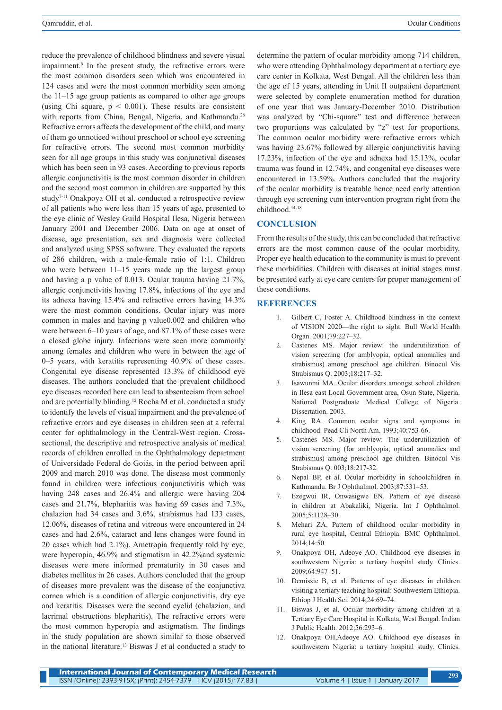reduce the prevalence of childhood blindness and severe visual impairment.<sup>6</sup> In the present study, the refractive errors were the most common disorders seen which was encountered in 124 cases and were the most common morbidity seen among the 11–15 age group patients as compared to other age groups (using Chi square,  $p < 0.001$ ). These results are consistent with reports from China, Bengal, Nigeria, and Kathmandu.<sup>26</sup> Refractive errors affects the development of the child, and many of them go unnoticed without preschool or school eye screening for refractive errors. The second most common morbidity seen for all age groups in this study was conjunctival diseases which has been seen in 93 cases. According to previous reports allergic conjunctivitis is the most common disorder in children and the second most common in children are supported by this study7-11 Onakpoya OH et al. conducted a retrospective review of all patients who were less than 15 years of age, presented to the eye clinic of Wesley Guild Hospital Ilesa, Nigeria between January 2001 and December 2006. Data on age at onset of disease, age presentation, sex and diagnosis were collected and analyzed using SPSS software. They evaluated the reports of 286 children, with a male-female ratio of 1:1. Children who were between 11–15 years made up the largest group and having a p value of 0.013. Ocular trauma having 21.7%, allergic conjunctivitis having 17.8%, infections of the eye and its adnexa having 15.4% and refractive errors having 14.3% were the most common conditions. Ocular injury was more common in males and having p value0.002 and children who were between 6–10 years of age, and 87.1% of these cases were a closed globe injury. Infections were seen more commonly among females and children who were in between the age of 0–5 years, with keratitis representing 40.9% of these cases. Congenital eye disease represented 13.3% of childhood eye diseases. The authors concluded that the prevalent childhood eye diseases recorded here can lead to absenteeism from school and are potentially blinding.12 Rocha M et al. conducted a study to identify the levels of visual impairment and the prevalence of refractive errors and eye diseases in children seen at a referral center for ophthalmology in the Central-West region. Crosssectional, the descriptive and retrospective analysis of medical records of children enrolled in the Ophthalmology department of Universidade Federal de Goiás, in the period between april 2009 and march 2010 was done. The disease most commonly found in children were infectious conjunctivitis which was having 248 cases and 26.4% and allergic were having 204 cases and 21.7%, blepharitis was having 69 cases and 7.3%, chalazion had 34 cases and 3.6%, strabismus had 133 cases, 12.06%, diseases of retina and vitreous were encountered in 24 cases and had 2.6%, cataract and lens changes were found in 20 cases which had 2.1%). Ametropia frequently told by eye, were hyperopia, 46.9% and stigmatism in 42.2%and systemic diseases were more informed prematurity in 30 cases and diabetes mellitus in 26 cases. Authors concluded that the group of diseases more prevalent was the disease of the conjunctiva cornea which is a condition of allergic conjunctivitis, dry eye and keratitis. Diseases were the second eyelid (chalazion, and lacrimal obstructions blepharitis). The refractive errors were the most common hyperopia and astigmatism. The findings in the study population are shown similar to those observed in the national literature.13 Biswas J et al conducted a study to

determine the pattern of ocular morbidity among 714 children, who were attending Ophthalmology department at a tertiary eye care center in Kolkata, West Bengal. All the children less than the age of 15 years, attending in Unit II outpatient department were selected by complete enumeration method for duration of one year that was January-December 2010. Distribution was analyzed by "Chi-square" test and difference between two proportions was calculated by "z" test for proportions. The common ocular morbidity were refractive errors which was having 23.67% followed by allergic conjunctivitis having 17.23%, infection of the eye and adnexa had 15.13%, ocular trauma was found in 12.74%, and congenital eye diseases were encountered in 13.59%. Authors concluded that the majority of the ocular morbidity is treatable hence need early attention through eye screening cum intervention program right from the childhood.14-18

#### **CONCLUSION**

From the results of the study, this can be concluded that refractive errors are the most common cause of the ocular morbidity. Proper eye health education to the community is must to prevent these morbidities. Children with diseases at initial stages must be presented early at eye care centers for proper management of these conditions.

#### **REFERENCES**

- 1. Gilbert C, Foster A. Childhood blindness in the context of VISION 2020—the right to sight. Bull World Health Organ. 2001;79:227–32.
- 2. Castenes MS. Major review: the underutilization of vision screening (for amblyopia, optical anomalies and strabismus) among preschool age children. Binocul Vis Strabismus Q. 2003;18:217–32.
- Isawunmi MA. Ocular disorders amongst school children in Ilesa east Local Government area, Osun State, Nigeria. National Postgraduate Medical College of Nigeria. Dissertation. 2003.
- 4. King RA. Common ocular signs and symptoms in childhood. Pead Cli North Am. 1993;40:753-66.
- 5. Castenes MS. Major review: The underutilization of vision screening (for amblyopia, optical anomalies and strabismus) among preschool age children. Binocul Vis Strabismus Q. 003;18:217-32.
- 6. Nepal BP, et al. Ocular morbidity in schoolchildren in Kathmandu. Br J Ophthalmol. 2003;87:531–53.
- Ezegwui IR, Onwasigwe EN. Pattern of eye disease in children at Abakaliki, Nigeria. Int J Ophthalmol. 2005;5:1128–30.
- 8. Mehari ZA. Pattern of childhood ocular morbidity in rural eye hospital, Central Ethiopia. BMC Ophthalmol. 2014;14:50.
- 9. Onakpoya OH, Adeoye AO. Childhood eye diseases in southwestern Nigeria: a tertiary hospital study. Clinics. 2009;64:947–51.
- 10. Demissie B, et al. Patterns of eye diseases in children visiting a tertiary teaching hospital: Southwestern Ethiopia. Ethiop J Health Sci. 2014;24:69–74.
- 11. Biswas J, et al. Ocular morbidity among children at a Tertiary Eye Care Hospital in Kolkata, West Bengal. Indian J Public Health. 2012;56:293–6.
- 12. Onakpoya OH,Adeoye AO. Childhood eye diseases in southwestern Nigeria: a tertiary hospital study. Clinics.